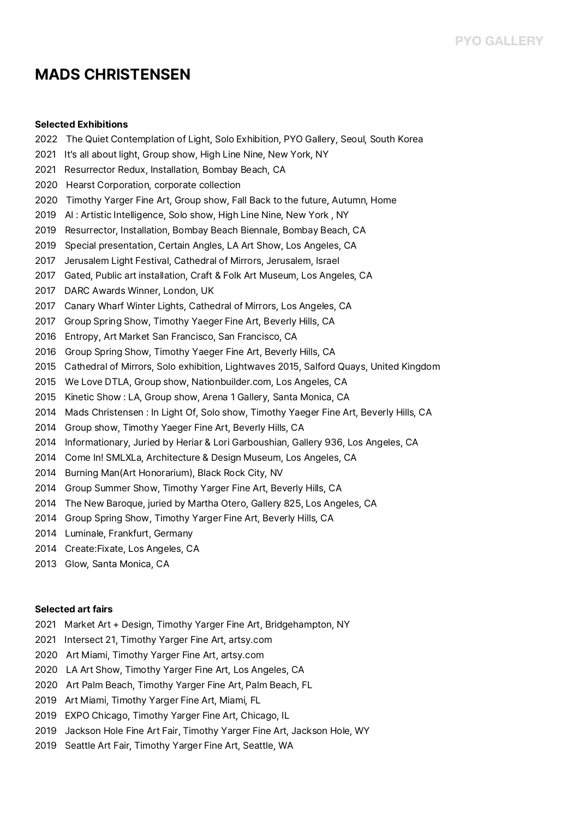# **MADS CHRISTENSEN**

## **Selected Exhibitions**

- 2022 The Quiet Contemplation of Light, Solo Exhibition, PYO Gallery, Seoul, South Korea
- 2021 It's all about light, Group show, High Line Nine, New York, NY
- 2021 Resurrector Redux, Installation, Bombay Beach, CA
- 2020 Hearst Corporation, corporate collection
- 2020 Timothy Yarger Fine Art, Group show, Fall Back to the future, Autumn, Home
- 2019 AI : Artistic Intelligence, Solo show, High Line Nine, New York , NY
- 2019 Resurrector, Installation, Bombay Beach Biennale, Bombay Beach, CA
- 2019 Special presentation, Certain Angles, LA Art Show, Los Angeles, CA
- 2017 Jerusalem Light Festival, Cathedral of Mirrors, Jerusalem, Israel
- 2017 Gated, Public art installation, Craft & Folk Art Museum, Los Angeles, CA
- 2017 DARC Awards Winner, London, UK
- 2017 Canary Wharf Winter Lights, Cathedral of Mirrors, Los Angeles, CA
- 2017 Group Spring Show, Timothy Yaeger Fine Art, Beverly Hills, CA
- 2016 Entropy, Art Market San Francisco, San Francisco, CA
- 2016 Group Spring Show, Timothy Yaeger Fine Art, Beverly Hills, CA
- 2015 Cathedral of Mirrors, Solo exhibition, Lightwaves 2015, Salford Quays, United Kingdom
- 2015 We Love DTLA, Group show, Nationbuilder.com, Los Angeles, CA
- 2015 Kinetic Show : LA, Group show, Arena 1 Gallery, Santa Monica, CA
- 2014 Mads Christensen : In Light Of, Solo show, Timothy Yaeger Fine Art, Beverly Hills, CA
- 2014 Group show, Timothy Yaeger Fine Art, Beverly Hills, CA
- 2014 Informationary, Juried by Heriar & Lori Garboushian, Gallery 936, Los Angeles, CA
- 2014 Come In! SMLXLa, Architecture & Design Museum, Los Angeles, CA
- 2014 Burning Man(Art Honorarium), Black Rock City, NV
- 2014 Group Summer Show, Timothy Yarger Fine Art, Beverly Hills, CA
- 2014 The New Baroque, juried by Martha Otero, Gallery 825, Los Angeles, CA
- 2014 Group Spring Show, Timothy Yarger Fine Art, Beverly Hills, CA
- 2014 Luminale, Frankfurt, Germany
- 2014 Create:Fixate, Los Angeles, CA
- 2013 Glow, Santa Monica, CA

#### **Selected art fairs**

- 2021 Market Art + Design, Timothy Yarger Fine Art, Bridgehampton, NY
- 2021 Intersect 21, Timothy Yarger Fine Art, artsy.com
- 2020 Art Miami, Timothy Yarger Fine Art, artsy.com
- 2020 LA Art Show, Timothy Yarger Fine Art, Los Angeles, CA
- 2020 Art Palm Beach, Timothy Yarger Fine Art, Palm Beach, FL
- 2019 Art Miami, Timothy Yarger Fine Art, Miami, FL
- 2019 EXPO Chicago, Timothy Yarger Fine Art, Chicago, IL
- 2019 Jackson Hole Fine Art Fair, Timothy Yarger Fine Art, Jackson Hole, WY
- 2019 Seattle Art Fair, Timothy Yarger Fine Art, Seattle, WA